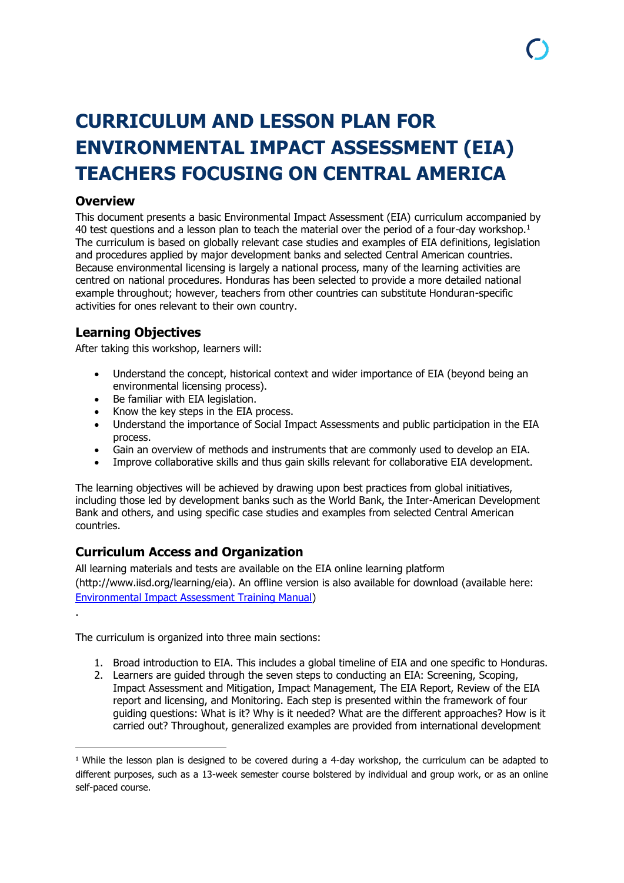# **CURRICULUM AND LESSON PLAN FOR ENVIRONMENTAL IMPACT ASSESSMENT (EIA) TEACHERS FOCUSING ON CENTRAL AMERICA**

### **Overview**

.

**.** 

This document presents a basic Environmental Impact Assessment (EIA) curriculum accompanied by 40 test questions and a lesson plan to teach the material over the period of a four-day workshop.<sup>1</sup> The curriculum is based on globally relevant case studies and examples of EIA definitions, legislation and procedures applied by major development banks and selected Central American countries. Because environmental licensing is largely a national process, many of the learning activities are centred on national procedures. Honduras has been selected to provide a more detailed national example throughout; however, teachers from other countries can substitute Honduran-specific activities for ones relevant to their own country.

# **Learning Objectives**

After taking this workshop, learners will:

- Understand the concept, historical context and wider importance of EIA (beyond being an environmental licensing process).
- Be familiar with EIA legislation.
- Know the key steps in the EIA process.
- Understand the importance of Social Impact Assessments and public participation in the EIA process.
- Gain an overview of methods and instruments that are commonly used to develop an EIA.
- Improve collaborative skills and thus gain skills relevant for collaborative EIA development.

The learning objectives will be achieved by drawing upon best practices from global initiatives, including those led by development banks such as the World Bank, the Inter-American Development Bank and others, and using specific case studies and examples from selected Central American countries.

# **Curriculum Access and Organization**

All learning materials and tests are available on the EIA online learning platform (http://www.iisd.org/learning/eia). An offline version is also available for download (available here: [Environmental Impact Assessment Training Manual\)](http://www.iisd.org/learning/eia/wp-content/uploads/2016/05/EIA-Manual.pdf)

The curriculum is organized into three main sections:

- 1. Broad introduction to EIA. This includes a global timeline of EIA and one specific to Honduras.
- 2. Learners are guided through the seven steps to conducting an EIA: Screening, Scoping, Impact Assessment and Mitigation, Impact Management, The EIA Report, Review of the EIA report and licensing, and Monitoring. Each step is presented within the framework of four guiding questions: What is it? Why is it needed? What are the different approaches? How is it carried out? Throughout, generalized examples are provided from international development

<sup>1</sup> While the lesson plan is designed to be covered during a 4-day workshop, the curriculum can be adapted to different purposes, such as a 13-week semester course bolstered by individual and group work, or as an online self-paced course.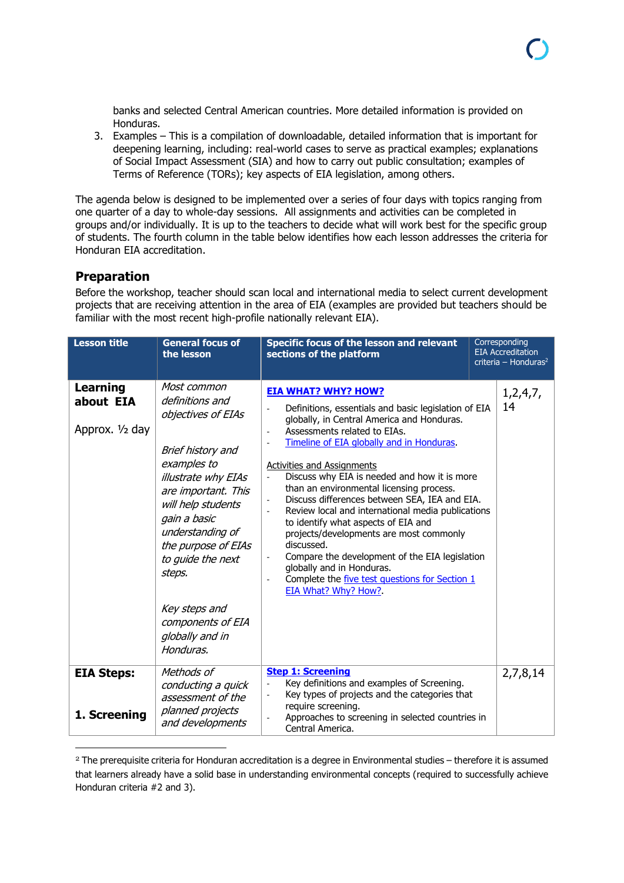banks and selected Central American countries. More detailed information is provided on Honduras.

3. Examples – This is a compilation of downloadable, detailed information that is important for deepening learning, including: real-world cases to serve as practical examples; explanations of Social Impact Assessment (SIA) and how to carry out public consultation; examples of Terms of Reference (TORs); key aspects of EIA legislation, among others.

The agenda below is designed to be implemented over a series of four days with topics ranging from one quarter of a day to whole-day sessions. All assignments and activities can be completed in groups and/or individually. It is up to the teachers to decide what will work best for the specific group of students. The fourth column in the table below identifies how each lesson addresses the criteria for Honduran EIA accreditation.

#### **Preparation**

**.** 

Before the workshop, teacher should scan local and international media to select current development projects that are receiving attention in the area of EIA (examples are provided but teachers should be familiar with the most recent high-profile nationally relevant EIA).

| <b>Lesson title</b>                             | <b>General focus of</b><br>the lesson                                                                                                                                                                                                                                                        | Specific focus of the lesson and relevant<br>sections of the platform                                                                                                                                                                                                                                                                                                                                                                                                                                                                                                                                                                                                                                         | Corresponding<br><b>EIA Accreditation</b><br>criteria – Honduras <sup>2</sup> |
|-------------------------------------------------|----------------------------------------------------------------------------------------------------------------------------------------------------------------------------------------------------------------------------------------------------------------------------------------------|---------------------------------------------------------------------------------------------------------------------------------------------------------------------------------------------------------------------------------------------------------------------------------------------------------------------------------------------------------------------------------------------------------------------------------------------------------------------------------------------------------------------------------------------------------------------------------------------------------------------------------------------------------------------------------------------------------------|-------------------------------------------------------------------------------|
| <b>Learning</b><br>about EIA<br>Approx. 1/2 day | Most common<br>definitions and<br>objectives of EIAs<br>Brief history and<br>examples to<br>illustrate why EIAs<br>are important. This<br>will help students<br>gain a basic<br>understanding of<br>the purpose of EIAs<br>to guide the next<br>steps.<br>Key steps and<br>components of EIA | <b>EIA WHAT? WHY? HOW?</b><br>Definitions, essentials and basic legislation of EIA<br>globally, in Central America and Honduras.<br>Assessments related to EIAs.<br>Timeline of EIA globally and in Honduras.<br><b>Activities and Assignments</b><br>Discuss why EIA is needed and how it is more<br>than an environmental licensing process.<br>Discuss differences between SEA, IEA and EIA.<br>Review local and international media publications<br>to identify what aspects of EIA and<br>projects/developments are most commonly<br>discussed.<br>Compare the development of the EIA legislation<br>globally and in Honduras.<br>Complete the five test questions for Section 1<br>EIA What? Why? How?. | 1,2,4,7,<br>14                                                                |
|                                                 | globally and in<br>Honduras.                                                                                                                                                                                                                                                                 |                                                                                                                                                                                                                                                                                                                                                                                                                                                                                                                                                                                                                                                                                                               |                                                                               |
| <b>EIA Steps:</b><br>1. Screening               | Methods of<br>conducting a quick<br>assessment of the<br>planned projects<br>and developments                                                                                                                                                                                                | <b>Step 1: Screening</b><br>Key definitions and examples of Screening.<br>Key types of projects and the categories that<br>require screening.<br>Approaches to screening in selected countries in<br>Central America.                                                                                                                                                                                                                                                                                                                                                                                                                                                                                         | 2,7,8,14                                                                      |

<sup>2</sup> The prerequisite criteria for Honduran accreditation is a degree in Environmental studies – therefore it is assumed that learners already have a solid base in understanding environmental concepts (required to successfully achieve Honduran criteria #2 and 3).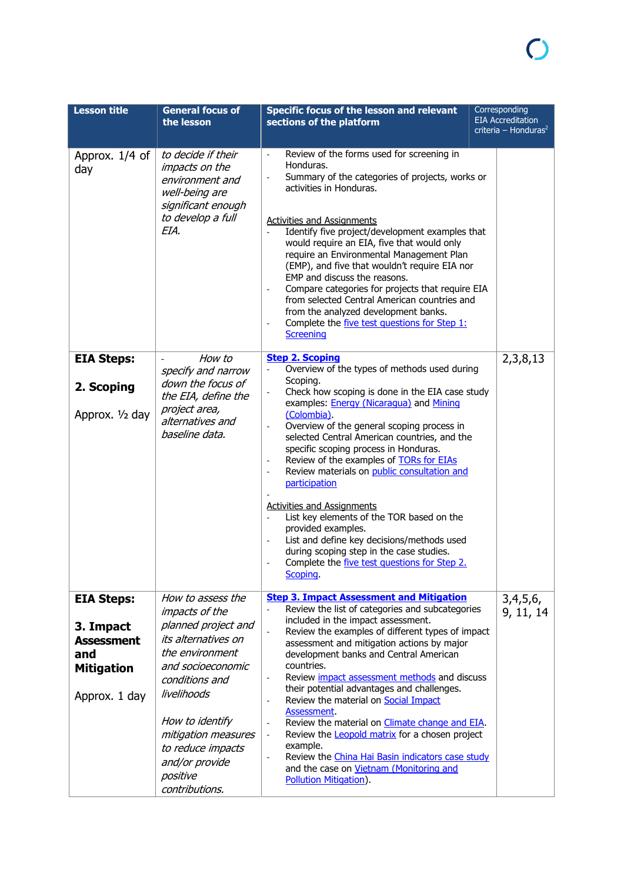| <b>Lesson title</b>                                                                              | <b>General focus of</b><br>the lesson                                                                                                                                                                                                                                            | Specific focus of the lesson and relevant<br>sections of the platform                                                                                                                                                                                                                                                                                                                                                                                                                                                                                                                                                                                                                                                                                                                                      | Corresponding<br><b>EIA Accreditation</b><br>criteria – Honduras <sup>2</sup> |
|--------------------------------------------------------------------------------------------------|----------------------------------------------------------------------------------------------------------------------------------------------------------------------------------------------------------------------------------------------------------------------------------|------------------------------------------------------------------------------------------------------------------------------------------------------------------------------------------------------------------------------------------------------------------------------------------------------------------------------------------------------------------------------------------------------------------------------------------------------------------------------------------------------------------------------------------------------------------------------------------------------------------------------------------------------------------------------------------------------------------------------------------------------------------------------------------------------------|-------------------------------------------------------------------------------|
| Approx. 1/4 of<br>day                                                                            | to decide if their<br>impacts on the<br>environment and<br>well-being are<br>significant enough<br>to develop a full<br>EIA.                                                                                                                                                     | Review of the forms used for screening in<br>$\overline{\phantom{a}}$<br>Honduras.<br>Summary of the categories of projects, works or<br>activities in Honduras.<br><b>Activities and Assignments</b><br>Identify five project/development examples that<br>would require an EIA, five that would only<br>require an Environmental Management Plan<br>(EMP), and five that wouldn't require EIA nor<br>EMP and discuss the reasons.<br>Compare categories for projects that require EIA<br>from selected Central American countries and<br>from the analyzed development banks.<br>Complete the five test questions for Step 1:<br>$\overline{\phantom{a}}$                                                                                                                                                |                                                                               |
|                                                                                                  |                                                                                                                                                                                                                                                                                  | Screening                                                                                                                                                                                                                                                                                                                                                                                                                                                                                                                                                                                                                                                                                                                                                                                                  |                                                                               |
| <b>EIA Steps:</b><br>2. Scoping<br>Approx. 1/2 day                                               | How to<br>specify and narrow<br>down the focus of<br>the EIA, define the<br>project area,<br>alternatives and<br>baseline data.                                                                                                                                                  | <b>Step 2. Scoping</b><br>Overview of the types of methods used during<br>Scoping.<br>Check how scoping is done in the EIA case study<br>examples: <b>Energy (Nicaragua)</b> and <b>Mining</b><br>(Colombia).<br>Overview of the general scoping process in<br>selected Central American countries, and the<br>specific scoping process in Honduras.<br>Review of the examples of <b>TORs</b> for EIAs<br>$\overline{\phantom{a}}$<br>Review materials on public consultation and<br>participation<br><b>Activities and Assignments</b><br>List key elements of the TOR based on the<br>$\frac{1}{2}$<br>provided examples.<br>List and define key decisions/methods used<br>during scoping step in the case studies.<br>Complete the five test questions for Step 2.<br>Scoping.                          | 2,3,8,13                                                                      |
| <b>EIA Steps:</b><br>3. Impact<br><b>Assessment</b><br>and<br><b>Mitigation</b><br>Approx. 1 day | How to assess the<br><i>impacts of the</i><br>planned project and<br>its alternatives on<br>the environment<br>and socioeconomic<br>conditions and<br>livelihoods<br>How to identify<br>mitigation measures<br>to reduce impacts<br>and/or provide<br>positive<br>contributions. | <b>Step 3. Impact Assessment and Mitigation</b><br>Review the list of categories and subcategories<br>included in the impact assessment.<br>Review the examples of different types of impact<br>$\overline{\phantom{a}}$<br>assessment and mitigation actions by major<br>development banks and Central American<br>countries.<br>Review <i>impact assessment methods</i> and discuss<br>their potential advantages and challenges.<br>Review the material on Social Impact<br>$\overline{\phantom{a}}$<br>Assessment.<br>Review the material on <i>Climate change and EIA</i> .<br>$\overline{\phantom{a}}$<br>Review the <b>Leopold matrix</b> for a chosen project<br>example.<br>Review the China Hai Basin indicators case study<br>and the case on Vietnam (Monitoring and<br>Pollution Mitigation). | 3,4,5,6,<br>9, 11, 14                                                         |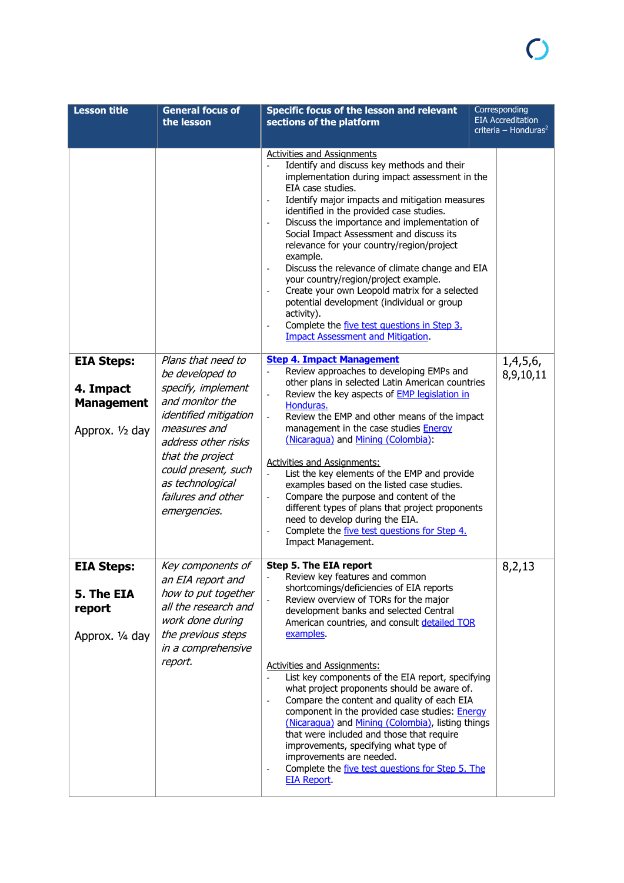| <b>Lesson title</b>                                                    | <b>General focus of</b><br>the lesson                                                                                                                                                                                                                      | <b>Specific focus of the lesson and relevant</b><br>sections of the platform                                                                                                                                                                                                                                                                                                                                                                                                                                                                                                                                                                                                                                                                                                                                   | Corresponding<br><b>EIA Accreditation</b><br>criteria - Honduras <sup>2</sup> |
|------------------------------------------------------------------------|------------------------------------------------------------------------------------------------------------------------------------------------------------------------------------------------------------------------------------------------------------|----------------------------------------------------------------------------------------------------------------------------------------------------------------------------------------------------------------------------------------------------------------------------------------------------------------------------------------------------------------------------------------------------------------------------------------------------------------------------------------------------------------------------------------------------------------------------------------------------------------------------------------------------------------------------------------------------------------------------------------------------------------------------------------------------------------|-------------------------------------------------------------------------------|
|                                                                        |                                                                                                                                                                                                                                                            | <b>Activities and Assignments</b><br>Identify and discuss key methods and their<br>implementation during impact assessment in the<br>EIA case studies.<br>Identify major impacts and mitigation measures<br>identified in the provided case studies.<br>Discuss the importance and implementation of<br>$\overline{\phantom{a}}$<br>Social Impact Assessment and discuss its<br>relevance for your country/region/project<br>example.<br>Discuss the relevance of climate change and EIA<br>your country/region/project example.<br>Create your own Leopold matrix for a selected<br>potential development (individual or group<br>activity).<br>Complete the five test questions in Step 3.<br><b>Impact Assessment and Mitigation.</b>                                                                       |                                                                               |
| <b>EIA Steps:</b><br>4. Impact<br><b>Management</b><br>Approx. 1/2 day | Plans that need to<br>be developed to<br>specify, implement<br>and monitor the<br><i>identified mitigation</i><br>measures and<br>address other risks<br>that the project<br>could present, such<br>as technological<br>failures and other<br>emergencies. | <b>Step 4. Impact Management</b><br>Review approaches to developing EMPs and<br>other plans in selected Latin American countries<br>Review the key aspects of <b>EMP</b> legislation in<br>Honduras.<br>Review the EMP and other means of the impact<br>management in the case studies <b>Energy</b><br>(Nicaragua) and Mining (Colombia):<br><b>Activities and Assignments:</b><br>List the key elements of the EMP and provide<br>$\omega$<br>examples based on the listed case studies.<br>Compare the purpose and content of the<br>different types of plans that project proponents<br>need to develop during the EIA.<br>Complete the five test questions for Step 4.<br>$\overline{\phantom{a}}$<br>Impact Management.                                                                                  | 1,4,5,6,<br>8,9,10,11                                                         |
| <b>EIA Steps:</b><br>5. The EIA<br>report<br>Approx. 1/4 day           | Key components of<br>an EIA report and<br>how to put together<br>all the research and<br>work done during<br>the previous steps<br>in a comprehensive<br>report.                                                                                           | Step 5. The EIA report<br>Review key features and common<br>shortcomings/deficiencies of EIA reports<br>Review overview of TORs for the major<br>development banks and selected Central<br>American countries, and consult detailed TOR<br>examples.<br><b>Activities and Assignments:</b><br>List key components of the EIA report, specifying<br>what project proponents should be aware of.<br>Compare the content and quality of each EIA<br>$\overline{\phantom{a}}$<br>component in the provided case studies: <b>Energy</b><br>(Nicaraqua) and Mining (Colombia), listing things<br>that were included and those that require<br>improvements, specifying what type of<br>improvements are needed.<br>Complete the five test questions for Step 5. The<br>$\overline{\phantom{a}}$<br><b>EIA Report</b> | 8,2,13                                                                        |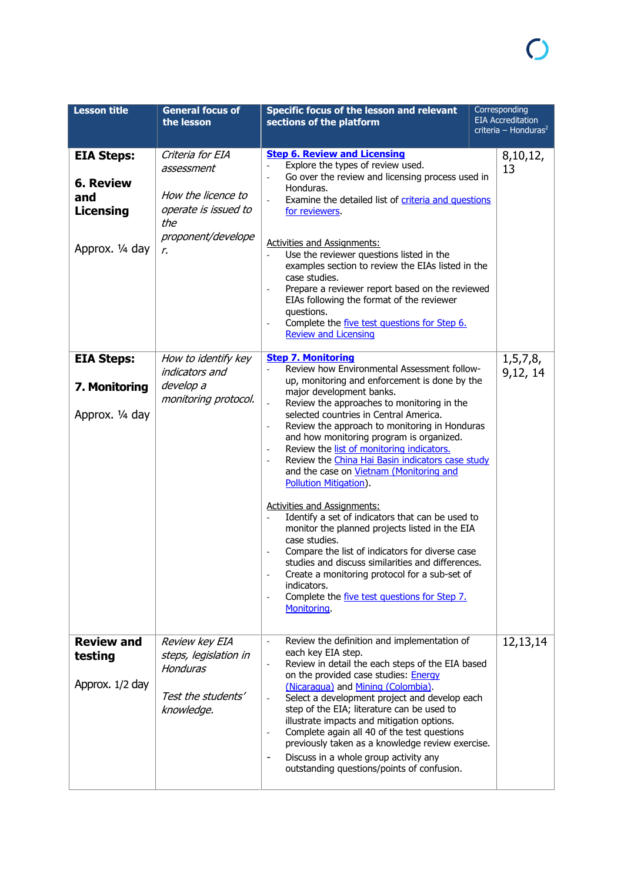| <b>Lesson title</b>                                                                 | <b>General focus of</b><br>the lesson                                                                           | <b>Specific focus of the lesson and relevant</b><br>sections of the platform                                                                                                                                                                                                                                                                                                                                                                                                                                                                                                                                                                                                                                                                                                                                                                                                                                                                                      | Corresponding<br><b>EIA Accreditation</b><br>criteria – Honduras <sup>2</sup> |
|-------------------------------------------------------------------------------------|-----------------------------------------------------------------------------------------------------------------|-------------------------------------------------------------------------------------------------------------------------------------------------------------------------------------------------------------------------------------------------------------------------------------------------------------------------------------------------------------------------------------------------------------------------------------------------------------------------------------------------------------------------------------------------------------------------------------------------------------------------------------------------------------------------------------------------------------------------------------------------------------------------------------------------------------------------------------------------------------------------------------------------------------------------------------------------------------------|-------------------------------------------------------------------------------|
| <b>EIA Steps:</b><br><b>6. Review</b><br>and<br><b>Licensing</b><br>Approx. 1/4 day | Criteria for EIA<br>assessment<br>How the licence to<br>operate is issued to<br>the<br>proponent/develope<br>r. | <b>Step 6. Review and Licensing</b><br>Explore the types of review used.<br>Go over the review and licensing process used in<br>Honduras.<br>Examine the detailed list of criteria and questions<br>for reviewers.<br><b>Activities and Assignments:</b><br>Use the reviewer questions listed in the<br>$\blacksquare$<br>examples section to review the EIAs listed in the<br>case studies.<br>Prepare a reviewer report based on the reviewed<br>EIAs following the format of the reviewer<br>questions.<br>Complete the five test questions for Step 6.<br><b>Review and Licensing</b>                                                                                                                                                                                                                                                                                                                                                                         | 8,10,12,<br>13                                                                |
| <b>EIA Steps:</b><br>7. Monitoring<br>Approx. 1/4 day                               | How to identify key<br>indicators and<br>develop a<br>monitoring protocol.                                      | <b>Step 7. Monitoring</b><br>Review how Environmental Assessment follow-<br>up, monitoring and enforcement is done by the<br>major development banks.<br>Review the approaches to monitoring in the<br>selected countries in Central America.<br>Review the approach to monitoring in Honduras<br>and how monitoring program is organized.<br>Review the list of monitoring indicators.<br>$\overline{\phantom{a}}$<br>Review the China Hai Basin indicators case study<br>and the case on Vietnam (Monitoring and<br>Pollution Mitigation).<br><b>Activities and Assignments:</b><br>Identify a set of indicators that can be used to<br>$\frac{1}{2}$<br>monitor the planned projects listed in the EIA<br>case studies.<br>Compare the list of indicators for diverse case<br>studies and discuss similarities and differences.<br>Create a monitoring protocol for a sub-set of<br>indicators.<br>Complete the five test questions for Step 7.<br>Monitoring. | 1, 5, 7, 8,<br>9,12, 14                                                       |
| <b>Review and</b><br>testing<br>Approx. 1/2 day                                     | Review key EIA<br>steps, legislation in<br><b>Honduras</b><br>Test the students'<br>knowledge.                  | Review the definition and implementation of<br>each key EIA step.<br>Review in detail the each steps of the EIA based<br>$\overline{\phantom{a}}$<br>on the provided case studies: Energy<br>(Nicaragua) and Mining (Colombia).<br>Select a development project and develop each<br>$\overline{\phantom{a}}$<br>step of the EIA; literature can be used to<br>illustrate impacts and mitigation options.<br>Complete again all 40 of the test questions<br>$\overline{\phantom{a}}$<br>previously taken as a knowledge review exercise.<br>Discuss in a whole group activity any<br>$\overline{\phantom{a}}$<br>outstanding questions/points of confusion.                                                                                                                                                                                                                                                                                                        | 12,13,14                                                                      |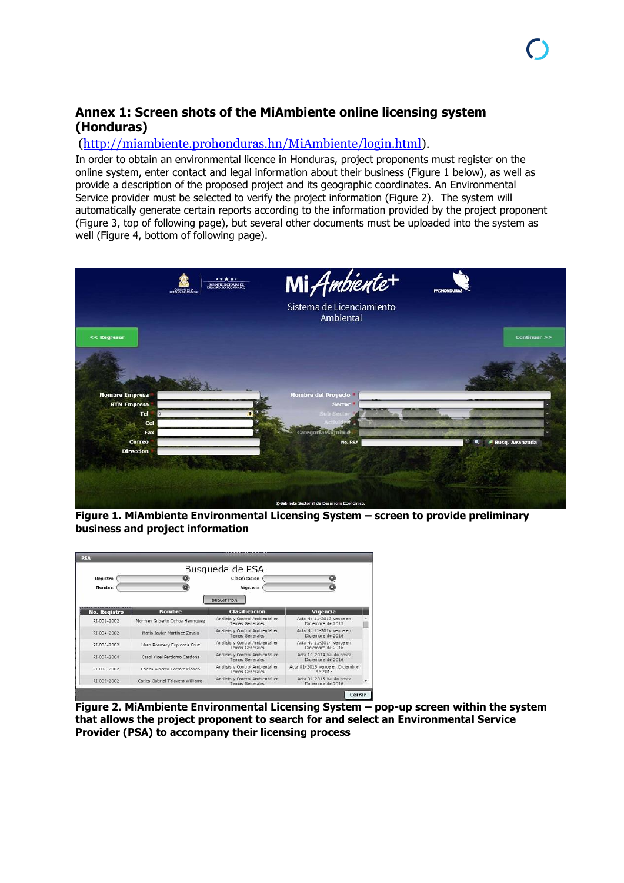#### **Annex 1: Screen shots of the MiAmbiente online licensing system (Honduras)**

#### [\(http://miambiente.prohonduras.hn/MiAmbiente/login.html\)](http://miambiente.prohonduras.hn/MiAmbiente/login.html).

In order to obtain an environmental licence in Honduras, project proponents must register on the online system, enter contact and legal information about their business (Figure 1 below), as well as provide a description of the proposed project and its geographic coordinates. An Environmental Service provider must be selected to verify the project information (Figure 2). The system will automatically generate certain reports according to the information provided by the project proponent (Figure 3, top of following page), but several other documents must be uploaded into the system as well (Figure 4, bottom of following page).



**Figure 1. MiAmbiente Environmental Licensing System – screen to provide preliminary business and project information**



**Figure 2. MiAmbiente Environmental Licensing System – pop-up screen within the system that allows the project proponent to search for and select an Environmental Service Provider (PSA) to accompany their licensing process**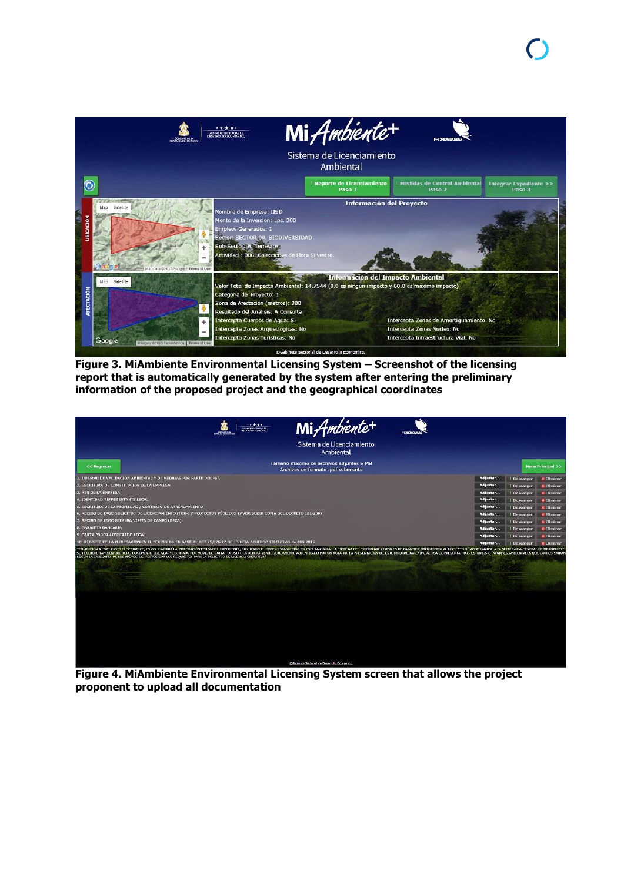

**Figure 3. MiAmbiente Environmental Licensing System – Screenshot of the licensing report that is automatically generated by the system after entering the preliminary information of the proposed project and the geographical coordinates**

| Mi Ambiente+<br>*****<br>ABOVE ET SOCTORING DE<br><b>PROMONDURA</b>                                                                                                                                                                                                                                                                                                                                                                                                                                                                                                         |          |                  |                                 |
|-----------------------------------------------------------------------------------------------------------------------------------------------------------------------------------------------------------------------------------------------------------------------------------------------------------------------------------------------------------------------------------------------------------------------------------------------------------------------------------------------------------------------------------------------------------------------------|----------|------------------|---------------------------------|
| Sistema de Licenciamiento<br>Ambiental                                                                                                                                                                                                                                                                                                                                                                                                                                                                                                                                      |          |                  |                                 |
| Tamaño maximo de archivos adjuntos 5 MB<br>$<<$ Regresar<br>Archivos en formato .pdf solamente                                                                                                                                                                                                                                                                                                                                                                                                                                                                              |          |                  | <b>Menu Principal &gt;&gt;</b>  |
| 1. INFORME DE VALIDACIÓN AMBIENTAL Y DE MEDIDAS POR PARTE DEL PSA                                                                                                                                                                                                                                                                                                                                                                                                                                                                                                           | Adjuntar | <b>Descargar</b> | <b>* Eliminar</b>               |
| 2. ESCRITURA DE CONSTITUCION DE LA EMPRESA                                                                                                                                                                                                                                                                                                                                                                                                                                                                                                                                  | Adjuntar | Descargar        | <b>X</b> Eliminar               |
| <b>3. RTN DE LA EMPRESA</b>                                                                                                                                                                                                                                                                                                                                                                                                                                                                                                                                                 | Adjuntar | Descargar        | <b>X</b> Eliminar               |
| 4. IDENTIDAD REPRESENTANTE LEGAL                                                                                                                                                                                                                                                                                                                                                                                                                                                                                                                                            | Adjuntar | Descargar        | <b>X</b> Eliminar               |
| 5. ESCRITURA DE LA PROPIEDAD / CONTRATO DE ARRENDAMIENTO                                                                                                                                                                                                                                                                                                                                                                                                                                                                                                                    | Adjuntar | Descargar        | <b><i><u>R</u></i></b> Eliminar |
| 6. RECIBO DE PAGO SOLICITUD DE LICENCIAMIENTO (TGR-1)/ PROYECTOS PÚBLICOS FAVOR SUBIR COPIA DEL DECRETO 181-2007                                                                                                                                                                                                                                                                                                                                                                                                                                                            | Adjuntar | Descargar        | <b>X</b> Eliminar               |
| 7. RECIBO DE PAGO PRIMERA VISITA DE CAMPO (DECA)                                                                                                                                                                                                                                                                                                                                                                                                                                                                                                                            | Adjuntar | Descargar        | <b>X</b> Eliminar               |
| 8. GARANTIA BANCARIA                                                                                                                                                                                                                                                                                                                                                                                                                                                                                                                                                        | Adjuntar | <b>Descargar</b> | <b>*Eliminar</b>                |
| 9. CARTA PODER APODERADO LEGAL                                                                                                                                                                                                                                                                                                                                                                                                                                                                                                                                              | Adjuntar | Descargar        | <b>&amp; Eliminar</b>           |
| 10. RECORTE DE LA PUBLICACION EN EL PERIODICO EN BASE AL ART 25,326,27 DEL SINEIA ACUERDO EJECUTIVO No 008-2015                                                                                                                                                                                                                                                                                                                                                                                                                                                             | Adjuntar | Descargar        | <b>* Eliminar</b>               |
| *EN ADICION A ESTE ENVIO ELECTRONICO, ES OBLIGATORIA LA INTEGRACIÓN FÍSICA DEL EXPEDIENTE, SIGUIENDO EL ORDEN ESTABLECIDO EN ESTA PANTALLA. LA ENTREGA DEL EXPEDIENTE FISICO ES DE CARACTER OBLIGATORIO AL MONENTO DE APERSONA<br>SE REQUIERE TAMBIEN QUE TODO DOCUMENTO QUE SEA PRESENTADO POR MEDIO DE COPIA FOTOSTÁTICA DEBERÁ VENIR DEBIDAMENTE AUTENTICADO POR UN NOTARIO. LA PRESENTACIÓN DE ESTE INFORME NO EXTHE AL PSA DE PRESENTAR LOS ESTUDIOS E INFO<br>SEGÚN LA CATEGORÍA DE LOS PROYECTOS, *ESTOS SON LOS REQUISITOS PARA LA SOLICITUD DE LICENCIA OPERATIVA* |          |                  |                                 |
| OGsbinete Sectorial de Desarrollo Economico                                                                                                                                                                                                                                                                                                                                                                                                                                                                                                                                 |          |                  |                                 |

**Figure 4. MiAmbiente Environmental Licensing System screen that allows the project proponent to upload all documentation**